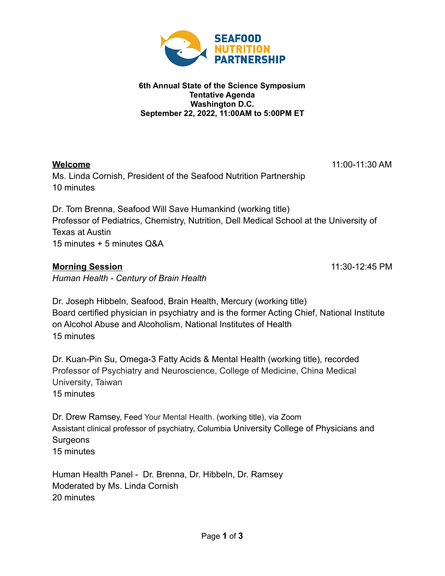

## **6th Annual State of the Science Symposium Tentative Agenda Washington D.C. September 22, 2022, 11:00AM to 5:00PM ET**

Ms. Linda Cornish, President of the Seafood Nutrition Partnership 10 minutes

**Welcome** 11:00-11:30 AM

Dr. Tom Brenna, Seafood Will Save Humankind (working title) Professor of Pediatrics, Chemistry, Nutrition, Dell Medical School at the University of Texas at Austin 15 minutes + 5 minutes Q&A

# **Morning Session** 11:30-12:45 PM

*Human Health - Century of Brain Health*

Dr. Joseph Hibbeln, Seafood, Brain Health, Mercury (working title) Board certified physician in psychiatry and is the former Acting Chief, National Institute on Alcohol Abuse and Alcoholism, National Institutes of Health 15 minutes

Dr. Kuan-Pin Su, Omega-3 Fatty Acids & Mental Health (working title), recorded Professor of Psychiatry and Neuroscience, College of Medicine, [China Medical](https://scholar.google.com.au/citations?view_op=view_org&hl=en&org=2370524001691642315) [University,](https://scholar.google.com.au/citations?view_op=view_org&hl=en&org=2370524001691642315) Taiwan 15 minutes

Dr. Drew Ramsey, Feed Your Mental Health. (working title), via Zoom Assistant clinical professor of psychiatry, Columbia University College of Physicians and Surgeons 15 minutes

Human Health Panel - Dr. Brenna, Dr. Hibbeln, Dr. Ramsey Moderated by Ms. Linda Cornish 20 minutes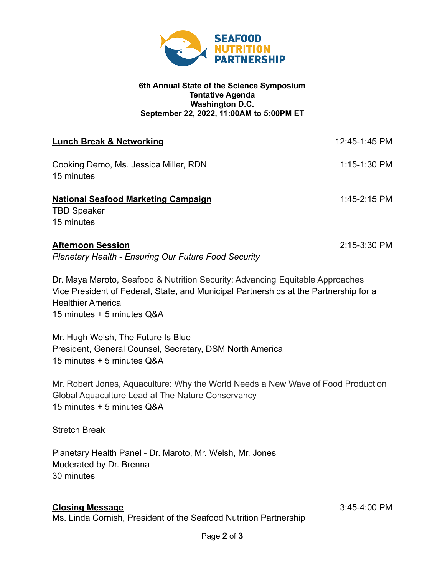

### **6th Annual State of the Science Symposium Tentative Agenda Washington D.C. September 22, 2022, 11:00AM to 5:00PM ET**

| <b>Lunch Break &amp; Networking</b>                                                     | 12:45-1:45 PM |
|-----------------------------------------------------------------------------------------|---------------|
| Cooking Demo, Ms. Jessica Miller, RDN<br>15 minutes                                     | 1:15-1:30 PM  |
| <b>National Seafood Marketing Campaign</b><br><b>TBD Speaker</b><br>15 minutes          | 1:45-2:15 PM  |
| <b>Afternoon Session</b><br><b>Planetary Health - Ensuring Our Future Food Security</b> | 2:15-3:30 PM  |

Dr. Maya Maroto, Seafood & Nutrition Security: Advancing Equitable Approaches Vice President of Federal, State, and Municipal Partnerships at the Partnership for a Healthier America 15 minutes + 5 minutes Q&A

Mr. Hugh Welsh, The Future Is Blue President, General Counsel, Secretary, DSM North America 15 minutes + 5 minutes Q&A

Mr. Robert Jones, Aquaculture: Why the World Needs a New Wave of Food Production Global Aquaculture Lead at The Nature Conservancy 15 minutes + 5 minutes Q&A

Stretch Break

Planetary Health Panel - Dr. Maroto, Mr. Welsh, Mr. Jones Moderated by Dr. Brenna 30 minutes

## **Closing Message** 3:45-4:00 PM

Ms. Linda Cornish, President of the Seafood Nutrition Partnership